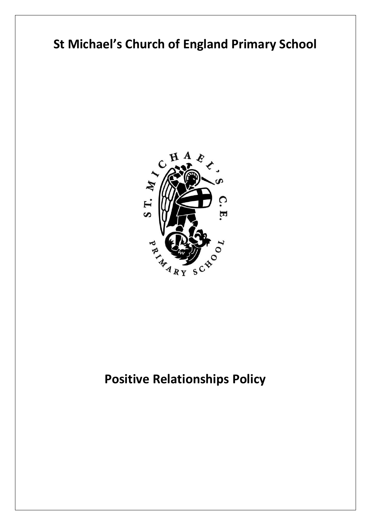# **St Michael's Church of England Primary School**



# **Positive Relationships Policy**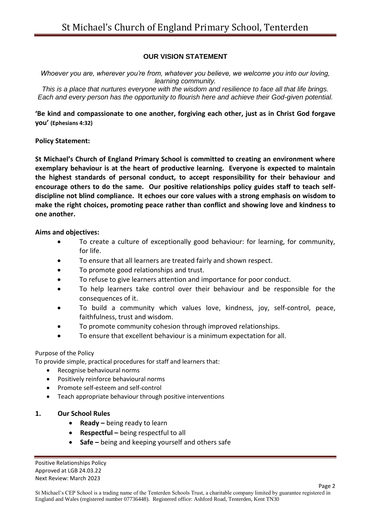### **OUR VISION STATEMENT**

*Whoever you are, wherever you're from, whatever you believe, we welcome you into our loving, learning community.*

*This is a place that nurtures everyone with the wisdom and resilience to face all that life brings. Each and every person has the opportunity to flourish here and achieve their God-given potential.*

**'Be kind and compassionate to one another, forgiving each other, just as in Christ God forgave you' (Ephesians 4:32)**

#### **Policy Statement:**

**St Michael's Church of England Primary School is committed to creating an environment where exemplary behaviour is at the heart of productive learning. Everyone is expected to maintain the highest standards of personal conduct, to accept responsibility for their behaviour and encourage others to do the same. Our positive relationships policy guides staff to teach selfdiscipline not blind compliance. It echoes our core values with a strong emphasis on wisdom to make the right choices, promoting peace rather than conflict and showing love and kindness to one another.**

#### **Aims and objectives:**

- To create a culture of exceptionally good behaviour: for learning, for community, for life.
- To ensure that all learners are treated fairly and shown respect.
- To promote good relationships and trust.
- To refuse to give learners attention and importance for poor conduct.
- To help learners take control over their behaviour and be responsible for the consequences of it.
- To build a community which values love, kindness, joy, self-control, peace, faithfulness, trust and wisdom.
- To promote community cohesion through improved relationships.
- To ensure that excellent behaviour is a minimum expectation for all.

#### Purpose of the Policy

To provide simple, practical procedures for staff and learners that:

- Recognise behavioural norms
- Positively reinforce behavioural norms
- Promote self-esteem and self-control
- Teach appropriate behaviour through positive interventions

#### **1. Our School Rules**

- **•** Ready being ready to learn
- **Respectful –** being respectful to all
- **Safe –** being and keeping yourself and others safe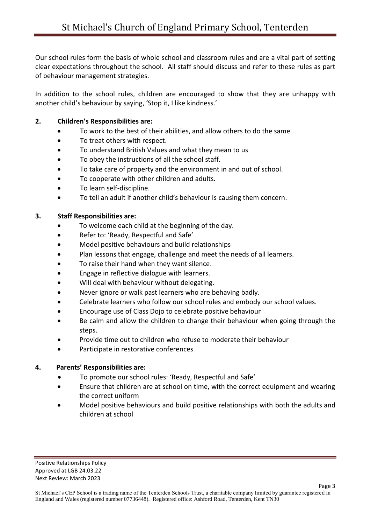Our school rules form the basis of whole school and classroom rules and are a vital part of setting clear expectations throughout the school. All staff should discuss and refer to these rules as part of behaviour management strategies.

In addition to the school rules, children are encouraged to show that they are unhappy with another child's behaviour by saying, 'Stop it, I like kindness.'

### **2. Children's Responsibilities are:**

- To work to the best of their abilities, and allow others to do the same.
- To treat others with respect.
- To understand British Values and what they mean to us
- To obey the instructions of all the school staff.
- To take care of property and the environment in and out of school.
- To cooperate with other children and adults.
- To learn self-discipline.
- To tell an adult if another child's behaviour is causing them concern.

## **3. Staff Responsibilities are:**

- To welcome each child at the beginning of the day.
- Refer to: 'Ready, Respectful and Safe'
- Model positive behaviours and build relationships
- Plan lessons that engage, challenge and meet the needs of all learners.
- To raise their hand when they want silence.
- Engage in reflective dialogue with learners.
- Will deal with behaviour without delegating.
- Never ignore or walk past learners who are behaving badly.
- Celebrate learners who follow our school rules and embody our school values.
- Encourage use of Class Dojo to celebrate positive behaviour
- Be calm and allow the children to change their behaviour when going through the steps.
- Provide time out to children who refuse to moderate their behaviour
- Participate in restorative conferences

## **4. Parents' Responsibilities are:**

- To promote our school rules: 'Ready, Respectful and Safe'
- Ensure that children are at school on time, with the correct equipment and wearing the correct uniform
- Model positive behaviours and build positive relationships with both the adults and children at school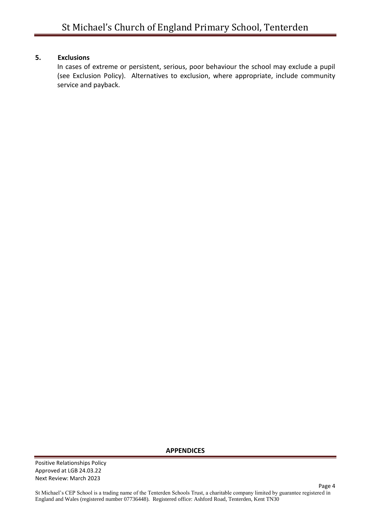#### **5. Exclusions**

In cases of extreme or persistent, serious, poor behaviour the school may exclude a pupil (see Exclusion Policy). Alternatives to exclusion, where appropriate, include community service and payback.

**APPENDICES**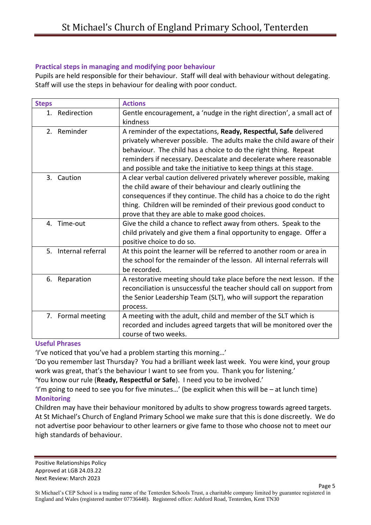#### **Practical steps in managing and modifying poor behaviour**

Pupils are held responsible for their behaviour. Staff will deal with behaviour without delegating. Staff will use the steps in behaviour for dealing with poor conduct.

| <b>Steps</b>            | <b>Actions</b>                                                          |
|-------------------------|-------------------------------------------------------------------------|
| Redirection<br>1.       | Gentle encouragement, a 'nudge in the right direction', a small act of  |
|                         | kindness                                                                |
| 2. Reminder             | A reminder of the expectations, Ready, Respectful, Safe delivered       |
|                         | privately wherever possible. The adults make the child aware of their   |
|                         | behaviour. The child has a choice to do the right thing. Repeat         |
|                         | reminders if necessary. Deescalate and decelerate where reasonable      |
|                         | and possible and take the initiative to keep things at this stage.      |
| Caution<br>3.           | A clear verbal caution delivered privately wherever possible, making    |
|                         | the child aware of their behaviour and clearly outlining the            |
|                         | consequences if they continue. The child has a choice to do the right   |
|                         | thing. Children will be reminded of their previous good conduct to      |
|                         | prove that they are able to make good choices.                          |
| 4. Time-out             | Give the child a chance to reflect away from others. Speak to the       |
|                         | child privately and give them a final opportunity to engage. Offer a    |
|                         | positive choice to do so.                                               |
| Internal referral<br>5. | At this point the learner will be referred to another room or area in   |
|                         | the school for the remainder of the lesson. All internal referrals will |
|                         | be recorded.                                                            |
| Reparation<br>6.        | A restorative meeting should take place before the next lesson. If the  |
|                         | reconciliation is unsuccessful the teacher should call on support from  |
|                         | the Senior Leadership Team (SLT), who will support the reparation       |
|                         | process.                                                                |
| 7. Formal meeting       | A meeting with the adult, child and member of the SLT which is          |
|                         | recorded and includes agreed targets that will be monitored over the    |
|                         | course of two weeks.                                                    |

#### **Useful Phrases**

'I've noticed that you've had a problem starting this morning…'

'Do you remember last Thursday? You had a brilliant week last week. You were kind, your group work was great, that's the behaviour I want to see from you. Thank you for listening.' 'You know our rule (**Ready, Respectful or Safe**). I need you to be involved.'

'I'm going to need to see you for five minutes…' (be explicit when this will be – at lunch time) **Monitoring**

Children may have their behaviour monitored by adults to show progress towards agreed targets. At St Michael's Church of England Primary School we make sure that this is done discreetly. We do not advertise poor behaviour to other learners or give fame to those who choose not to meet our high standards of behaviour.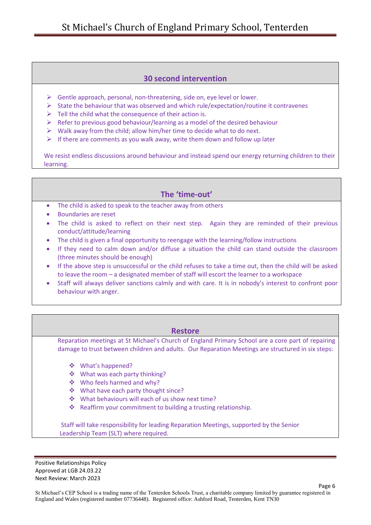## **30 second intervention**

- $\triangleright$  Gentle approach, personal, non-threatening, side on, eye level or lower.
- $\triangleright$  State the behaviour that was observed and which rule/expectation/routine it contravenes
- $\triangleright$  Tell the child what the consequence of their action is.
- $\triangleright$  Refer to previous good behaviour/learning as a model of the desired behaviour
- $\triangleright$  Walk away from the child; allow him/her time to decide what to do next.
- $\triangleright$  If there are comments as you walk away, write them down and follow up later

We resist endless discussions around behaviour and instead spend our energy returning children to their learning.

# **The 'time-out'**

- The child is asked to speak to the teacher away from others
- Boundaries are reset
- The child is asked to reflect on their next step. Again they are reminded of their previous conduct/attitude/learning
- The child is given a final opportunity to reengage with the learning/follow instructions
- If they need to calm down and/or diffuse a situation the child can stand outside the classroom (three minutes should be enough)
- If the above step is unsuccessful or the child refuses to take a time out, then the child will be asked to leave the room – a designated member of staff will escort the learner to a workspace
- Staff will always deliver sanctions calmly and with care. It is in nobody's interest to confront poor behaviour with anger.

#### **Restore**

Reparation meetings at St Michael's Church of England Primary School are a core part of repairing damage to trust between children and adults. Our Reparation Meetings are structured in six steps:

- ❖ What's happened?
- What was each party thinking?
- Who feels harmed and why?
- ❖ What have each party thought since?
- What behaviours will each of us show next time?
- ◆ Reaffirm your commitment to building a trusting relationship.

 Staff will take responsibility for leading Reparation Meetings, supported by the Senior Leadership Team (SLT) where required.

Positive Relationships Policy Approved at LGB 24.03.22 Next Review: March 2023

Page 6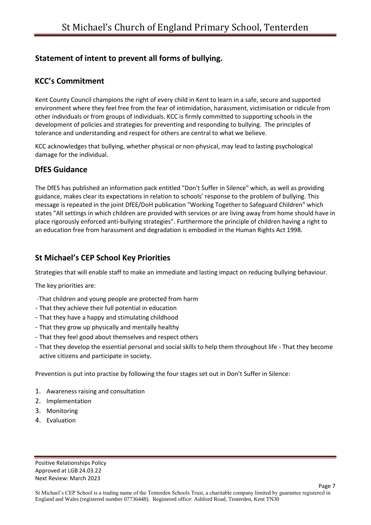# **Statement of intent to prevent all forms of bullying.**

# **KCC's Commitment**

Kent County Council champions the right of every child in Kent to learn in a safe, secure and supported environment where they feel free from the fear of intimidation, harassment, victimisation or ridicule from other individuals or from groups of individuals. KCC is firmly committed to supporting schools in the development of policies and strategies for preventing and responding to bullying. The principles of tolerance and understanding and respect for others are central to what we believe.

KCC acknowledges that bullying, whether physical or non-physical, may lead to lasting psychological damage for the individual.

## **DfES Guidance**

The DfES has published an information pack entitled "Don't Suffer in Silence" which, as well as providing guidance, makes clear its expectations in relation to schools' response to the problem of bullying. This message is repeated in the joint DfEE/DoH publication "Working Together to Safeguard Children" which states "All settings in which children are provided with services or are living away from home should have in place rigorously enforced anti-bullying strategies". Furthermore the principle of children having a right to an education free from harassment and degradation is embodied in the Human Rights Act 1998.

# **St Michael's CEP School Key Priorities**

Strategies that will enable staff to make an immediate and lasting impact on reducing bullying behaviour.

The key priorities are:

- -That children and young people are protected from harm
- That they achieve their full potential in education
- That they have a happy and stimulating childhood
- That they grow up physically and mentally healthy
- That they feel good about themselves and respect others
- That they develop the essential personal and social skills to help them throughout life That they become active citizens and participate in society.

Prevention is put into practise by following the four stages set out in Don't Suffer in Silence:

- 1. Awareness raising and consultation
- 2. Implementation
- 3. Monitoring
- 4. Evaluation

Page 7